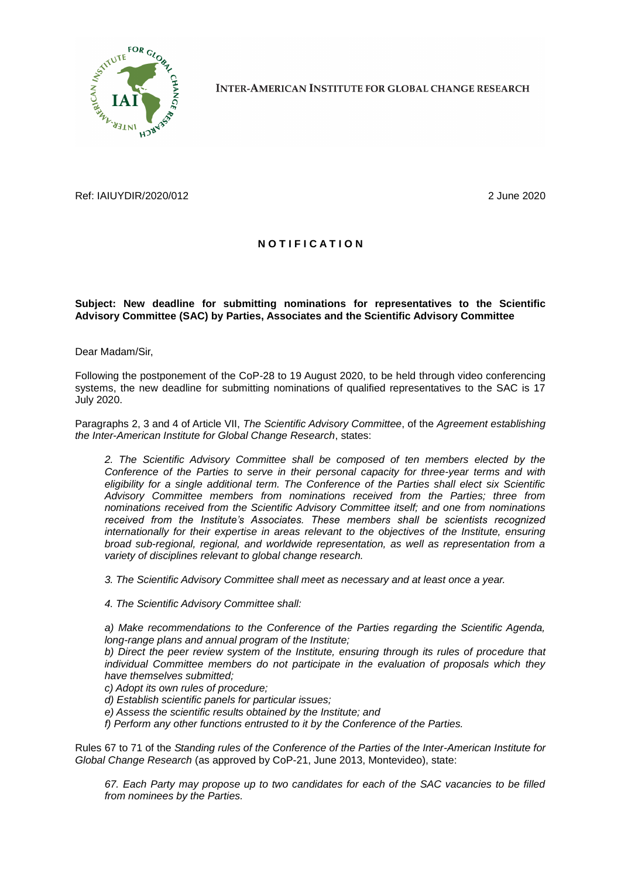

**INTER-AMERICAN INSTITUTE FOR GLOBAL CHANGE RESEARCH** 

Ref: IAIUYDIR/2020/012 2 June 2020

## **N O T I F I C A T I O N**

## **Subject: New deadline for submitting nominations for representatives to the Scientific Advisory Committee (SAC) by Parties, Associates and the Scientific Advisory Committee**

Dear Madam/Sir,

Following the postponement of the CoP-28 to 19 August 2020, to be held through video conferencing systems, the new deadline for submitting nominations of qualified representatives to the SAC is 17 July 2020.

Paragraphs 2, 3 and 4 of Article VII, *The Scientific Advisory Committee*, of the *Agreement establishing the Inter-American Institute for Global Change Research*, states:

*2. The Scientific Advisory Committee shall be composed of ten members elected by the Conference of the Parties to serve in their personal capacity for three-year terms and with eligibility for a single additional term. The Conference of the Parties shall elect six Scientific Advisory Committee members from nominations received from the Parties; three from nominations received from the Scientific Advisory Committee itself; and one from nominations received from the Institute's Associates. These members shall be scientists recognized internationally for their expertise in areas relevant to the objectives of the Institute, ensuring broad sub-regional, regional, and worldwide representation, as well as representation from a variety of disciplines relevant to global change research.*

*3. The Scientific Advisory Committee shall meet as necessary and at least once a year.*

*4. The Scientific Advisory Committee shall:*

*a) Make recommendations to the Conference of the Parties regarding the Scientific Agenda, long-range plans and annual program of the Institute;*

*b) Direct the peer review system of the Institute, ensuring through its rules of procedure that individual Committee members do not participate in the evaluation of proposals which they have themselves submitted;*

*c) Adopt its own rules of procedure;*

- *d) Establish scientific panels for particular issues;*
- *e) Assess the scientific results obtained by the Institute; and*

*f) Perform any other functions entrusted to it by the Conference of the Parties.*

Rules 67 to 71 of the *Standing rules of the Conference of the Parties of the Inter-American Institute for Global Change Research* (as approved by CoP-21, June 2013, Montevideo), state:

*67. Each Party may propose up to two candidates for each of the SAC vacancies to be filled from nominees by the Parties.*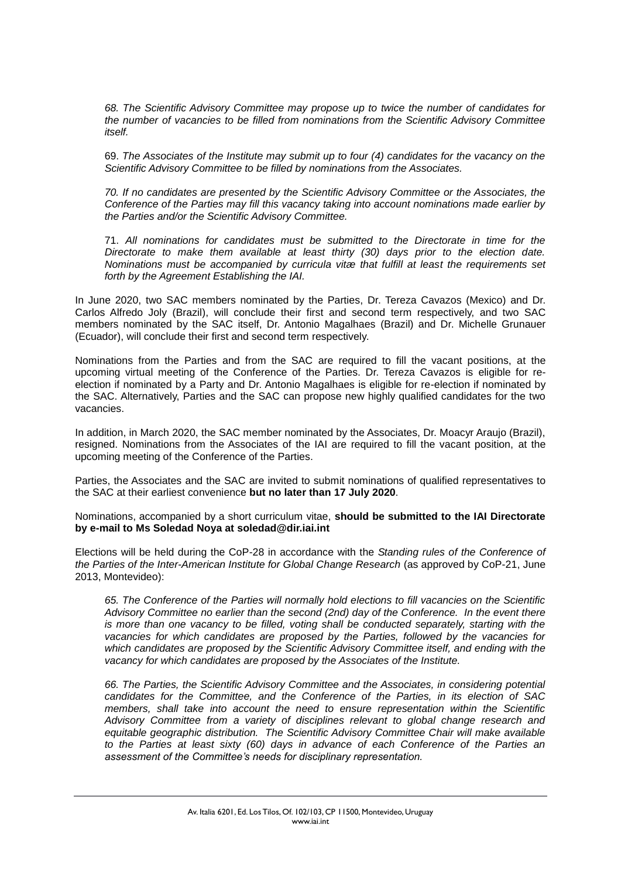*68. The Scientific Advisory Committee may propose up to twice the number of candidates for the number of vacancies to be filled from nominations from the Scientific Advisory Committee itself.*

69. *The Associates of the Institute may submit up to four (4) candidates for the vacancy on the Scientific Advisory Committee to be filled by nominations from the Associates.*

*70. If no candidates are presented by the Scientific Advisory Committee or the Associates, the Conference of the Parties may fill this vacancy taking into account nominations made earlier by the Parties and/or the Scientific Advisory Committee.*

71. *All nominations for candidates must be submitted to the Directorate in time for the Directorate to make them available at least thirty (30) days prior to the election date. Nominations must be accompanied by curricula vitæ that fulfill at least the requirements set forth by the Agreement Establishing the IAI.*

In June 2020, two SAC members nominated by the Parties, Dr. Tereza Cavazos (Mexico) and Dr. Carlos Alfredo Joly (Brazil), will conclude their first and second term respectively, and two SAC members nominated by the SAC itself, Dr. Antonio Magalhaes (Brazil) and Dr. Michelle Grunauer (Ecuador), will conclude their first and second term respectively.

Nominations from the Parties and from the SAC are required to fill the vacant positions, at the upcoming virtual meeting of the Conference of the Parties. Dr. Tereza Cavazos is eligible for reelection if nominated by a Party and Dr. Antonio Magalhaes is eligible for re-election if nominated by the SAC. Alternatively, Parties and the SAC can propose new highly qualified candidates for the two vacancies.

In addition, in March 2020, the SAC member nominated by the Associates, Dr. Moacyr Araujo (Brazil), resigned. Nominations from the Associates of the IAI are required to fill the vacant position, at the upcoming meeting of the Conference of the Parties.

Parties, the Associates and the SAC are invited to submit nominations of qualified representatives to the SAC at their earliest convenience **but no later than 17 July 2020**.

Nominations, accompanied by a short curriculum vitae, **should be submitted to the IAI Directorate by e-mail to Ms Soledad Noya at soledad@dir.iai.int** 

Elections will be held during the CoP-28 in accordance with the *Standing rules of the Conference of the Parties of the Inter-American Institute for Global Change Research* (as approved by CoP-21, June 2013, Montevideo):

*65. The Conference of the Parties will normally hold elections to fill vacancies on the Scientific Advisory Committee no earlier than the second (2nd) day of the Conference. In the event there is more than one vacancy to be filled, voting shall be conducted separately, starting with the vacancies for which candidates are proposed by the Parties, followed by the vacancies for which candidates are proposed by the Scientific Advisory Committee itself, and ending with the vacancy for which candidates are proposed by the Associates of the Institute.*

*66. The Parties, the Scientific Advisory Committee and the Associates, in considering potential candidates for the Committee, and the Conference of the Parties, in its election of SAC members, shall take into account the need to ensure representation within the Scientific Advisory Committee from a variety of disciplines relevant to global change research and equitable geographic distribution. The Scientific Advisory Committee Chair will make available to the Parties at least sixty (60) days in advance of each Conference of the Parties an assessment of the Committee's needs for disciplinary representation.*